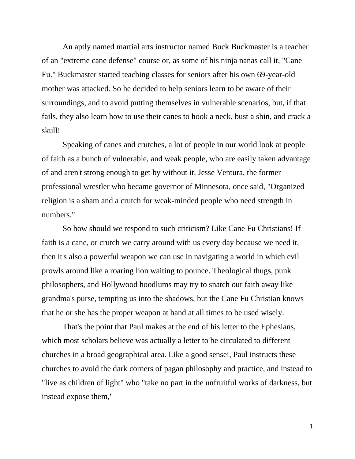An aptly named martial arts instructor named Buck Buckmaster is a teacher of an "extreme cane defense" course or, as some of his ninja nanas call it, "Cane Fu." Buckmaster started teaching classes for seniors after his own 69-year-old mother was attacked. So he decided to help seniors learn to be aware of their surroundings, and to avoid putting themselves in vulnerable scenarios, but, if that fails, they also learn how to use their canes to hook a neck, bust a shin, and crack a skull!

Speaking of canes and crutches, a lot of people in our world look at people of faith as a bunch of vulnerable, and weak people, who are easily taken advantage of and aren't strong enough to get by without it. Jesse Ventura, the former professional wrestler who became governor of Minnesota, once said, "Organized religion is a sham and a crutch for weak-minded people who need strength in numbers."

So how should we respond to such criticism? Like Cane Fu Christians! If faith is a cane, or crutch we carry around with us every day because we need it, then it's also a powerful weapon we can use in navigating a world in which evil prowls around like a roaring lion waiting to pounce. Theological thugs, punk philosophers, and Hollywood hoodlums may try to snatch our faith away like grandma's purse, tempting us into the shadows, but the Cane Fu Christian knows that he or she has the proper weapon at hand at all times to be used wisely.

That's the point that Paul makes at the end of his letter to the Ephesians, which most scholars believe was actually a letter to be circulated to different churches in a broad geographical area. Like a good sensei, Paul instructs these churches to avoid the dark corners of pagan philosophy and practice, and instead to "live as children of light" who "take no part in the unfruitful works of darkness, but instead expose them,"

1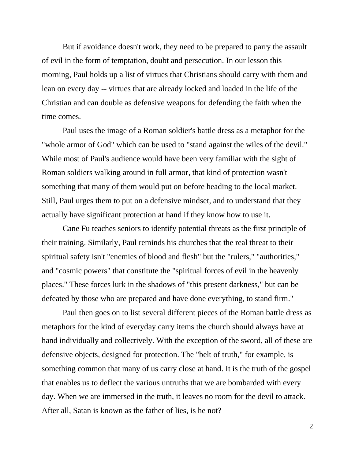But if avoidance doesn't work, they need to be prepared to parry the assault of evil in the form of temptation, doubt and persecution. In our lesson this morning, Paul holds up a list of virtues that Christians should carry with them and lean on every day -- virtues that are already locked and loaded in the life of the Christian and can double as defensive weapons for defending the faith when the time comes.

Paul uses the image of a Roman soldier's battle dress as a metaphor for the "whole armor of God" which can be used to "stand against the wiles of the devil." While most of Paul's audience would have been very familiar with the sight of Roman soldiers walking around in full armor, that kind of protection wasn't something that many of them would put on before heading to the local market. Still, Paul urges them to put on a defensive mindset, and to understand that they actually have significant protection at hand if they know how to use it.

Cane Fu teaches seniors to identify potential threats as the first principle of their training. Similarly, Paul reminds his churches that the real threat to their spiritual safety isn't "enemies of blood and flesh" but the "rulers," "authorities," and "cosmic powers" that constitute the "spiritual forces of evil in the heavenly places." These forces lurk in the shadows of "this present darkness," but can be defeated by those who are prepared and have done everything, to stand firm."

Paul then goes on to list several different pieces of the Roman battle dress as metaphors for the kind of everyday carry items the church should always have at hand individually and collectively. With the exception of the sword, all of these are defensive objects, designed for protection. The "belt of truth," for example, is something common that many of us carry close at hand. It is the truth of the gospel that enables us to deflect the various untruths that we are bombarded with every day. When we are immersed in the truth, it leaves no room for the devil to attack. After all, Satan is known as the father of lies, is he not?

2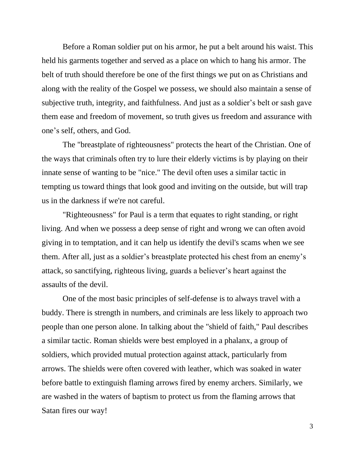Before a Roman soldier put on his armor, he put a belt around his waist. This held his garments together and served as a place on which to hang his armor. The belt of truth should therefore be one of the first things we put on as Christians and along with the reality of the Gospel we possess, we should also maintain a sense of subjective truth, integrity, and faithfulness. And just as a soldier's belt or sash gave them ease and freedom of movement, so truth gives us freedom and assurance with one's self, others, and God.

The "breastplate of righteousness" protects the heart of the Christian. One of the ways that criminals often try to lure their elderly victims is by playing on their innate sense of wanting to be "nice." The devil often uses a similar tactic in tempting us toward things that look good and inviting on the outside, but will trap us in the darkness if we're not careful.

"Righteousness" for Paul is a term that equates to right standing, or right living. And when we possess a deep sense of right and wrong we can often avoid giving in to temptation, and it can help us identify the devil's scams when we see them. After all, just as a soldier's breastplate protected his chest from an enemy's attack, so sanctifying, righteous living, guards a believer's heart against the assaults of the devil.

One of the most basic principles of self-defense is to always travel with a buddy. There is strength in numbers, and criminals are less likely to approach two people than one person alone. In talking about the "shield of faith," Paul describes a similar tactic. Roman shields were best employed in a phalanx, a group of soldiers, which provided mutual protection against attack, particularly from arrows. The shields were often covered with leather, which was soaked in water before battle to extinguish flaming arrows fired by enemy archers. Similarly, we are washed in the waters of baptism to protect us from the flaming arrows that Satan fires our way!